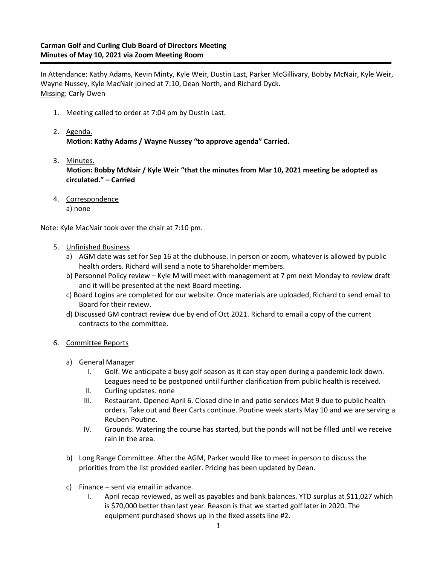In Attendance: Kathy Adams, Kevin Minty, Kyle Weir, Dustin Last, Parker McGillivary, Bobby McNair, Kyle Weir, Wayne Nussey, Kyle MacNair joined at 7:10, Dean North, and Richard Dyck. Missing: Carly Owen

- 1. Meeting called to order at 7:04 pm by Dustin Last.
- 2. Agenda. **Motion: Kathy Adams / Wayne Nussey "to approve agenda" Carried.**
- 3. Minutes. **Motion: Bobby McNair / Kyle Weir "that the minutes from Mar 10, 2021 meeting be adopted as circulated." – Carried**
- 4. Correspondence a) none

Note: Kyle MacNair took over the chair at 7:10 pm.

- 5. Unfinished Business
	- a) AGM date was set for Sep 16 at the clubhouse. In person or zoom, whatever is allowed by public health orders. Richard will send a note to Shareholder members.
	- b) Personnel Policy review Kyle M will meet with management at 7 pm next Monday to review draft and it will be presented at the next Board meeting.
	- c) Board Logins are completed for our website. Once materials are uploaded, Richard to send email to Board for their review.
	- d) Discussed GM contract review due by end of Oct 2021. Richard to email a copy of the current contracts to the committee.
- 6. Committee Reports
	- a) General Manager
		- I. Golf. We anticipate a busy golf season as it can stay open during a pandemic lock down. Leagues need to be postponed until further clarification from public health is received.
		- II. Curling updates. none
		- III. Restaurant. Opened April 6. Closed dine in and patio services Mat 9 due to public health orders. Take out and Beer Carts continue. Poutine week starts May 10 and we are serving a Reuben Poutine.
		- IV. Grounds. Watering the course has started, but the ponds will not be filled until we receive rain in the area.
	- b) Long Range Committee. After the AGM, Parker would like to meet in person to discuss the priorities from the list provided earlier. Pricing has been updated by Dean.
	- c) Finance sent via email in advance.
		- I. April recap reviewed, as well as payables and bank balances. YTD surplus at \$11,027 which is \$70,000 better than last year. Reason is that we started golf later in 2020. The equipment purchased shows up in the fixed assets line #2.